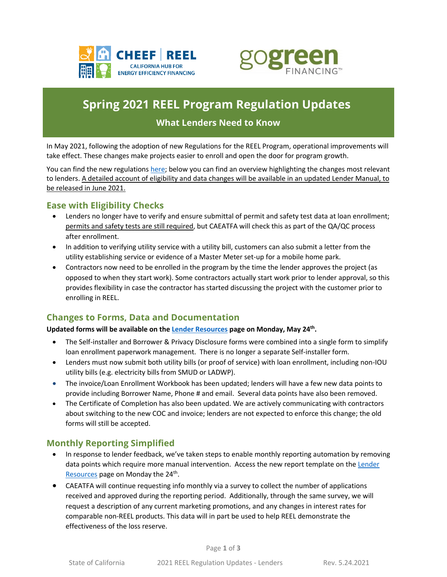



# **Spring 2021 REEL Program Regulation Updates**

## **What Lenders Need to Know**

In May 2021, following the adoption of new Regulations for the REEL Program, operational improvements will take effect. These changes make projects easier to enroll and open the door for program growth.

You can find the new regulations [here;](https://www.treasurer.ca.gov/caeatfa/cheef/reel/regulations/index.asp) below you can find an overview highlighting the changes most relevant to lenders. A detailed account of eligibility and data changes will be available in an updated Lender Manual, to be released in June 2021.

### **Ease with Eligibility Checks**

- Lenders no longer have to verify and ensure submittal of permit and safety test data at loan enrollment; permits and safety tests are still required, but CAEATFA will check this as part of the QA/QC process after enrollment.
- In addition to verifying utility service with a utility bill, customers can also submit a letter from the utility establishing service or evidence of a Master Meter set-up for a mobile home park.
- Contractors now need to be enrolled in the program by the time the lender approves the project (as opposed to when they start work). Some contractors actually start work prior to lender approval, so this provides flexibility in case the contractor has started discussing the project with the customer prior to enrolling in REEL.

# **Changes to Forms, Data and Documentation**

#### **Updated forms will be available on th[e Lender Resources](https://gogreenfinancing.com/residentiallenders#tab-4) page on Monday, May 24th .**

- The Self-installer and Borrower & Privacy Disclosure forms were combined into a single form to simplify loan enrollment paperwork management. There is no longer a separate Self-installer form.
- Lenders must now submit both utility bills (or proof of service) with loan enrollment, including non-IOU utility bills (e.g. electricity bills from SMUD or LADWP).
- The invoice/Loan Enrollment Workbook has been updated; lenders will have a few new data points to provide including Borrower Name, Phone # and email. Several data points have also been removed.
- The Certificate of Completion has also been updated. We are actively communicating with contractors about switching to the new COC and invoice; lenders are not expected to enforce this change; the old forms will still be accepted.

### **Monthly Reporting Simplified**

- In response to lender feedback, we've taken steps to enable monthly reporting automation by removing data points which require more manual intervention. Access the new report template on the Lender [Resources](https://gogreenfinancing.com/residentiallenders#tab-4) page on Monday the 24<sup>th</sup>.
- CAEATFA will continue requesting info monthly via a survey to collect the number of applications received and approved during the reporting period. Additionally, through the same survey, we will request a description of any current marketing promotions, and any changes in interest rates for comparable non-REEL products. This data will in part be used to help REEL demonstrate the effectiveness of the loss reserve.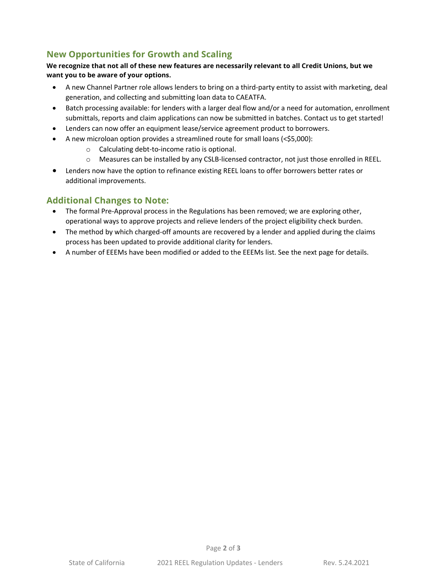# **New Opportunities for Growth and Scaling**

#### **We recognize that not all of these new features are necessarily relevant to all Credit Unions, but we want you to be aware of your options.**

- A new Channel Partner role allows lenders to bring on a third-party entity to assist with marketing, deal generation, and collecting and submitting loan data to CAEATFA.
- Batch processing available: for lenders with a larger deal flow and/or a need for automation, enrollment submittals, reports and claim applications can now be submitted in batches. Contact us to get started!
- Lenders can now offer an equipment lease/service agreement product to borrowers.
- A new microloan option provides a streamlined route for small loans (<\$5,000):
	- o Calculating debt-to-income ratio is optional.
	- o Measures can be installed by any CSLB-licensed contractor, not just those enrolled in REEL.
- Lenders now have the option to refinance existing REEL loans to offer borrowers better rates or additional improvements.

### **Additional Changes to Note:**

- The formal Pre-Approval process in the Regulations has been removed; we are exploring other, operational ways to approve projects and relieve lenders of the project eligibility check burden.
- The method by which charged-off amounts are recovered by a lender and applied during the claims process has been updated to provide additional clarity for lenders.
- A number of EEEMs have been modified or added to the EEEMs list. See the next page for details.